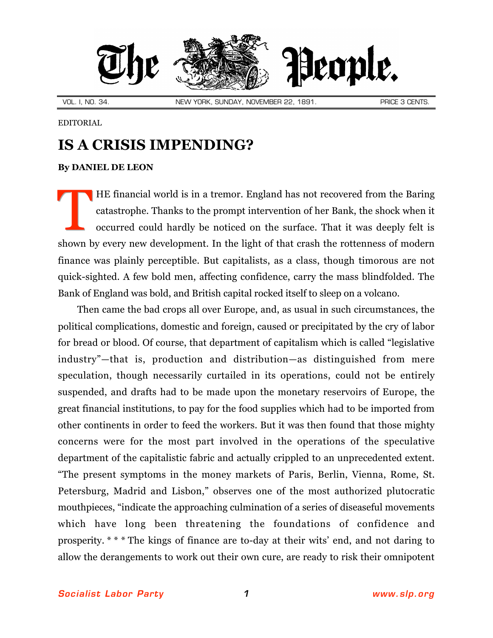

EDITORIAL

## **IS A CRISIS IMPENDING?**

## **By [DANIEL DE LEON](http://slp.org/De_Leon.htm)**

HE financial world is in a tremor. England has not recovered from the Baring catastrophe. Thanks to the prompt intervention of her Bank, the shock when it occurred could hardly be noticed on the surface. That it was deeply felt is shown by every new development. In the light of that crash the rottenness of modern finance was plainly perceptible. But capitalists, as a class, though timorous are not quick-sighted. A few bold men, affecting confidence, carry the mass blindfolded. The Bank of England was bold, and British capital rocked itself to sleep on a volcano. T

Then came the bad crops all over Europe, and, as usual in such circumstances, the political complications, domestic and foreign, caused or precipitated by the cry of labor for bread or blood. Of course, that department of capitalism which is called "legislative industry"—that is, production and distribution—as distinguished from mere speculation, though necessarily curtailed in its operations, could not be entirely suspended, and drafts had to be made upon the monetary reservoirs of Europe, the great financial institutions, to pay for the food supplies which had to be imported from other continents in order to feed the workers. But it was then found that those mighty concerns were for the most part involved in the operations of the speculative department of the capitalistic fabric and actually crippled to an unprecedented extent. "The present symptoms in the money markets of Paris, Berlin, Vienna, Rome, St. Petersburg, Madrid and Lisbon," observes one of the most authorized plutocratic mouthpieces, "indicate the approaching culmination of a series of diseaseful movements which have long been threatening the foundations of confidence and prosperity. \* \* \* The kings of finance are to-day at their wits' end, and not daring to allow the derangements to work out their own cure, are ready to risk their omnipotent